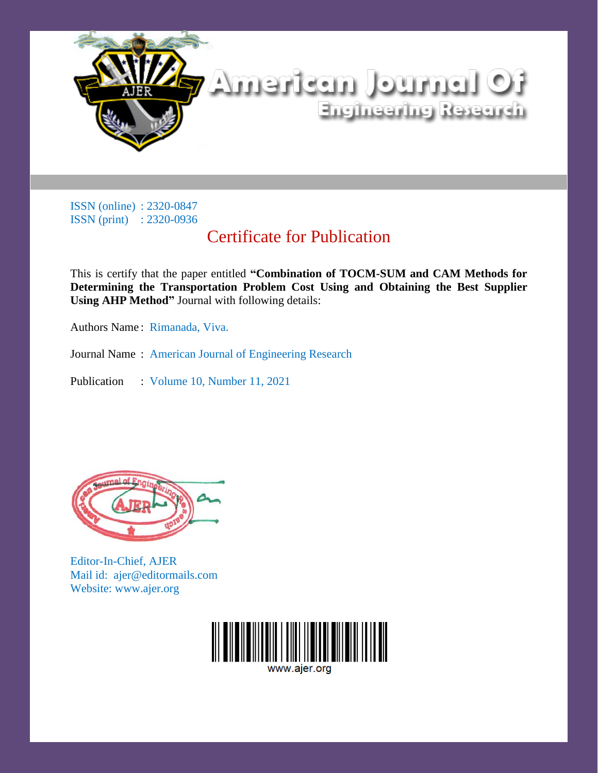

ISSN (online) : 2320-0847 ISSN (print) : 2320-0936

## Certificate for Publication

This is certify that the paper entitled **"Combination of TOCM-SUM and CAM Methods for Determining the Transportation Problem Cost Using and Obtaining the Best Supplier Using AHP Method"** Journal with following details:

Authors Name : Rimanada, Viva.

Journal Name : American Journal of Engineering Research

Publication : Volume 10, Number 11, 2021



Editor-In-Chief, AJER Mail id: ajer@editormails.com Website: www.ajer.org



www.aier.ord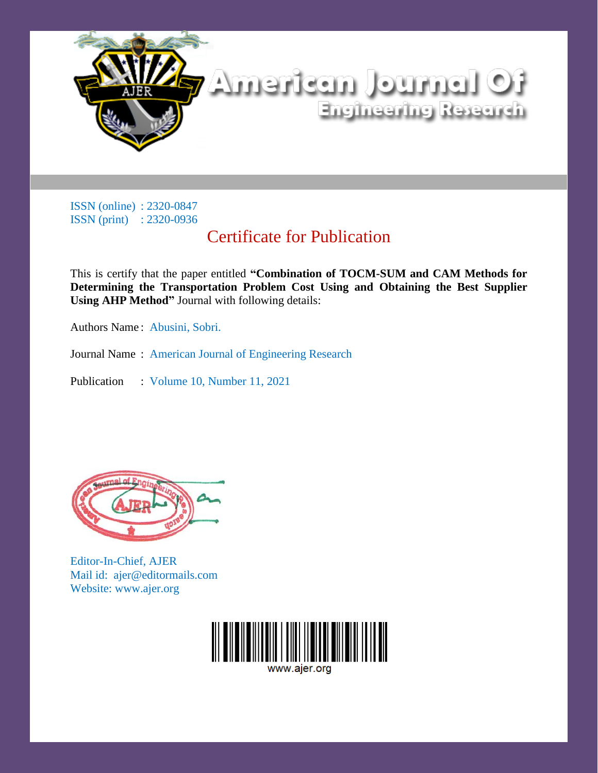

ISSN (online) : 2320-0847 ISSN (print) : 2320-0936

## Certificate for Publication

This is certify that the paper entitled **"Combination of TOCM-SUM and CAM Methods for Determining the Transportation Problem Cost Using and Obtaining the Best Supplier Using AHP Method"** Journal with following details:

Authors Name : Abusini, Sobri.

Journal Name : American Journal of Engineering Research

Publication : Volume 10, Number 11, 2021



Editor-In-Chief, AJER Mail id: ajer@editormails.com Website: www.ajer.org



www.aier.ord